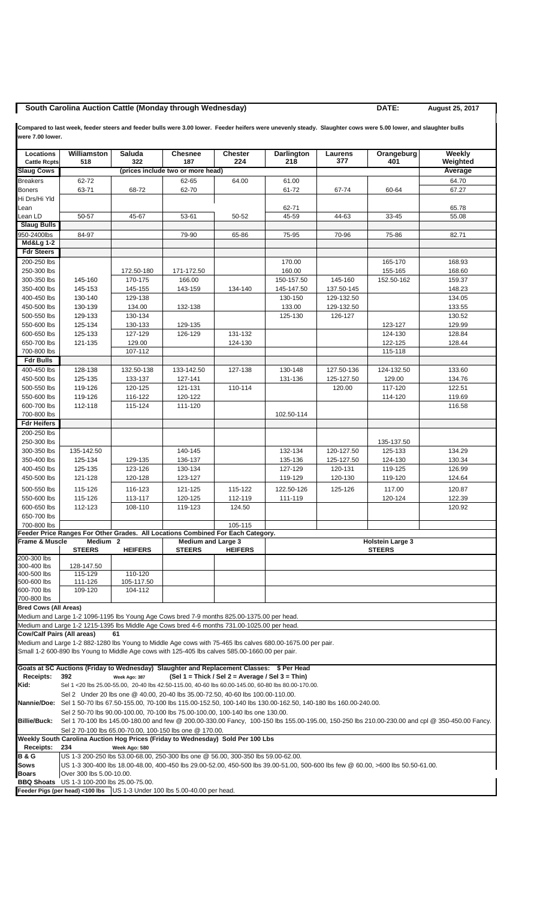## **South Carolina Auction Cattle (Monday through Wednesday) DATE:** August 25, 2017

**Compared to last week, feeder steers and feeder bulls were 3.00 lower. Feeder heifers were unevenly steady. Slaughter cows were 5.00 lower, and slaughter bulls were 7.00 lower.**

| Locations                                                                       | Williamston                                                                                                                                                                                                                      | Saluda                | <b>Chesnee</b>                             | <b>Chester</b>                                   | Darlington                                                                                                                | Laurens                 | Orangeburg         | Weekly           |  |
|---------------------------------------------------------------------------------|----------------------------------------------------------------------------------------------------------------------------------------------------------------------------------------------------------------------------------|-----------------------|--------------------------------------------|--------------------------------------------------|---------------------------------------------------------------------------------------------------------------------------|-------------------------|--------------------|------------------|--|
| <b>Cattle Rcpts</b>                                                             | 518                                                                                                                                                                                                                              | 322                   | 187                                        | 224                                              | 218                                                                                                                       | 377                     | 401                | Weighted         |  |
| <b>Slaug Cows</b>                                                               |                                                                                                                                                                                                                                  |                       | (prices include two or more head)          |                                                  |                                                                                                                           |                         |                    | Average          |  |
| <b>Breakers</b>                                                                 | 62-72                                                                                                                                                                                                                            |                       | 62-65                                      | 64.00                                            | 61.00                                                                                                                     |                         |                    | 64.70            |  |
| <b>Boners</b><br>Hi Drs/Hi Yld                                                  | 63-71                                                                                                                                                                                                                            | 68-72                 | 62-70                                      |                                                  | 61-72                                                                                                                     | 67-74                   | 60-64              | 67.27            |  |
| Lean                                                                            |                                                                                                                                                                                                                                  |                       |                                            |                                                  | 62-71                                                                                                                     |                         |                    | 65.78            |  |
| Lean LD                                                                         | 50-57                                                                                                                                                                                                                            | 45-67                 | 53-61                                      | 50-52                                            | 45-59                                                                                                                     | 44-63                   | 33-45              | 55.08            |  |
| <b>Slaug Bulls</b>                                                              |                                                                                                                                                                                                                                  |                       |                                            |                                                  |                                                                                                                           |                         |                    |                  |  |
| 950-2400lbs                                                                     | 84-97                                                                                                                                                                                                                            |                       | 79-90                                      | 65-86                                            | 75-95                                                                                                                     | 70-96                   | 75-86              | 82.71            |  |
| <b>Md&amp;Lg 1-2</b>                                                            |                                                                                                                                                                                                                                  |                       |                                            |                                                  |                                                                                                                           |                         |                    |                  |  |
| <b>Fdr Steers</b><br>200-250 lbs                                                |                                                                                                                                                                                                                                  |                       |                                            |                                                  | 170.00                                                                                                                    |                         | 165-170            | 168.93           |  |
| 250-300 lbs                                                                     |                                                                                                                                                                                                                                  | 172.50-180            | 171-172.50                                 |                                                  | 160.00                                                                                                                    |                         | 155-165            | 168.60           |  |
| 300-350 lbs                                                                     | 145-160                                                                                                                                                                                                                          | 170-175               | 166.00                                     |                                                  | 150-157.50                                                                                                                | 145-160                 | 152.50-162         | 159.37           |  |
| 350-400 lbs                                                                     | 145-153                                                                                                                                                                                                                          | 145-155               | 143-159                                    | 134-140                                          | 145-147.50                                                                                                                | 137.50-145              |                    | 148.23           |  |
| 400-450 lbs                                                                     | 130-140                                                                                                                                                                                                                          | 129-138               |                                            |                                                  | 130-150                                                                                                                   | 129-132.50              |                    | 134.05           |  |
| 450-500 lbs                                                                     | 130-139                                                                                                                                                                                                                          | 134.00                | 132-138                                    |                                                  | 133.00                                                                                                                    | 129-132.50              |                    | 133.55           |  |
| 500-550 lbs                                                                     | 129-133                                                                                                                                                                                                                          | 130-134               |                                            |                                                  | 125-130                                                                                                                   | 126-127                 |                    | 130.52           |  |
| 550-600 lbs<br>600-650 lbs                                                      | 125-134<br>125-133                                                                                                                                                                                                               | 130-133<br>127-129    | 129-135<br>126-129                         | 131-132                                          |                                                                                                                           |                         | 123-127            | 129.99<br>128.84 |  |
| 650-700 lbs                                                                     | 121-135                                                                                                                                                                                                                          | 129.00                |                                            | 124-130                                          |                                                                                                                           |                         | 124-130<br>122-125 | 128.44           |  |
| 700-800 lbs                                                                     |                                                                                                                                                                                                                                  | 107-112               |                                            |                                                  |                                                                                                                           |                         | 115-118            |                  |  |
| <b>Fdr Bulls</b>                                                                |                                                                                                                                                                                                                                  |                       |                                            |                                                  |                                                                                                                           |                         |                    |                  |  |
| 400-450 lbs                                                                     | 128-138                                                                                                                                                                                                                          | 132.50-138            | 133-142.50                                 | 127-138                                          | 130-148                                                                                                                   | 127.50-136              | 124-132.50         | 133.60           |  |
| 450-500 lbs                                                                     | 125-135                                                                                                                                                                                                                          | 133-137               | 127-141                                    |                                                  | 131-136                                                                                                                   | 125-127.50              | 129.00             | 134.76           |  |
| 500-550 lbs                                                                     | 119-126                                                                                                                                                                                                                          | 120-125               | 121-131                                    | 110-114                                          |                                                                                                                           | 120.00                  | 117-120            | 122.51           |  |
| 550-600 lbs                                                                     | 119-126                                                                                                                                                                                                                          | 116-122               | 120-122                                    |                                                  |                                                                                                                           |                         | 114-120            | 119.69           |  |
| 600-700 lbs<br>700-800 lbs                                                      | 112-118                                                                                                                                                                                                                          | 115-124               | 111-120                                    |                                                  | 102.50-114                                                                                                                |                         |                    | 116.58           |  |
| <b>Fdr Heifers</b>                                                              |                                                                                                                                                                                                                                  |                       |                                            |                                                  |                                                                                                                           |                         |                    |                  |  |
| 200-250 lbs                                                                     |                                                                                                                                                                                                                                  |                       |                                            |                                                  |                                                                                                                           |                         |                    |                  |  |
| 250-300 lbs                                                                     |                                                                                                                                                                                                                                  |                       |                                            |                                                  |                                                                                                                           |                         | 135-137.50         |                  |  |
| 300-350 lbs                                                                     | 135-142.50                                                                                                                                                                                                                       |                       | 140-145                                    |                                                  | 132-134                                                                                                                   | 120-127.50              | 125-133            | 134.29           |  |
| 350-400 lbs                                                                     | 125-134                                                                                                                                                                                                                          | 129-135               | 136-137                                    |                                                  | 135-136                                                                                                                   | 125-127.50              | 124-130            | 130.34           |  |
| 400-450 lbs                                                                     | 125-135                                                                                                                                                                                                                          | 123-126               | 130-134                                    |                                                  | 127-129                                                                                                                   | 120-131                 | 119-125            | 126.99           |  |
| 450-500 lbs                                                                     | 121-128                                                                                                                                                                                                                          | 120-128               | 123-127                                    |                                                  | 119-129                                                                                                                   | 120-130                 | 119-120            | 124.64           |  |
| 500-550 lbs                                                                     | 115-126                                                                                                                                                                                                                          | 116-123               | 121-125                                    | 115-122                                          | 122.50-126                                                                                                                | 125-126                 | 117.00             | 120.87           |  |
| 550-600 lbs<br>600-650 lbs                                                      | 115-126<br>112-123                                                                                                                                                                                                               | 113-117<br>108-110    | 120-125<br>119-123                         | 112-119<br>124.50                                | 111-119                                                                                                                   |                         | 120-124            | 122.39<br>120.92 |  |
| 650-700 lbs                                                                     |                                                                                                                                                                                                                                  |                       |                                            |                                                  |                                                                                                                           |                         |                    |                  |  |
| 700-800 lbs                                                                     |                                                                                                                                                                                                                                  |                       |                                            | 105-115                                          |                                                                                                                           |                         |                    |                  |  |
|                                                                                 | Feeder Price Ranges For Other Grades. All Locations Combined For Each Category.                                                                                                                                                  |                       |                                            |                                                  |                                                                                                                           |                         |                    |                  |  |
| Frame & Muscle                                                                  | Medium 2                                                                                                                                                                                                                         |                       | <b>Medium and Large 3</b><br><b>STEERS</b> | <b>HEIFERS</b>                                   |                                                                                                                           | <b>Holstein Large 3</b> |                    |                  |  |
| 200-300 lbs                                                                     | <b>STEERS</b>                                                                                                                                                                                                                    | <b>HEIFERS</b>        |                                            |                                                  |                                                                                                                           |                         | <b>STEERS</b>      |                  |  |
| 300-400 lbs                                                                     | 128-147.50                                                                                                                                                                                                                       |                       |                                            |                                                  |                                                                                                                           |                         |                    |                  |  |
| 400-500 lbs                                                                     | 115-129                                                                                                                                                                                                                          | 110-120               |                                            |                                                  |                                                                                                                           |                         |                    |                  |  |
| 500-600 lbs<br>600-700 lbs                                                      | 111-126<br>109-120                                                                                                                                                                                                               | 105-117.50<br>104-112 |                                            |                                                  |                                                                                                                           |                         |                    |                  |  |
| 700-800 lbs                                                                     |                                                                                                                                                                                                                                  |                       |                                            |                                                  |                                                                                                                           |                         |                    |                  |  |
| <b>Bred Cows (All Areas)</b>                                                    |                                                                                                                                                                                                                                  |                       |                                            |                                                  |                                                                                                                           |                         |                    |                  |  |
|                                                                                 | Medium and Large 1-2 1096-1195 lbs Young Age Cows bred 7-9 months 825.00-1375.00 per head.                                                                                                                                       |                       |                                            |                                                  |                                                                                                                           |                         |                    |                  |  |
|                                                                                 | Medium and Large 1-2 1215-1395 lbs Middle Age Cows bred 4-6 months 731.00-1025.00 per head.                                                                                                                                      |                       |                                            |                                                  |                                                                                                                           |                         |                    |                  |  |
| <b>Cow/Calf Pairs (All areas)</b>                                               |                                                                                                                                                                                                                                  | 61                    |                                            |                                                  |                                                                                                                           |                         |                    |                  |  |
|                                                                                 | Small 1-2 600-890 lbs Young to Middle Age cows with 125-405 lbs calves 585.00-1660.00 per pair.                                                                                                                                  |                       |                                            |                                                  | Medium and Large 1-2 882-1280 lbs Young to Middle Age cows with 75-465 lbs calves 680.00-1675.00 per pair.                |                         |                    |                  |  |
|                                                                                 |                                                                                                                                                                                                                                  |                       |                                            |                                                  |                                                                                                                           |                         |                    |                  |  |
|                                                                                 | Goats at SC Auctions (Friday to Wednesday) Slaughter and Replacement Classes: \$ Per Head                                                                                                                                        |                       |                                            |                                                  |                                                                                                                           |                         |                    |                  |  |
| Receipts:                                                                       | 392                                                                                                                                                                                                                              | Week Ago: 387         |                                            | (Sel 1 = Thick / Sel 2 = Average / Sel 3 = Thin) |                                                                                                                           |                         |                    |                  |  |
| Kid:                                                                            |                                                                                                                                                                                                                                  |                       |                                            |                                                  | Sel 1 <20 lbs 25.00-55.00, 20-40 lbs 42.50-115.00, 40-60 lbs 60.00-145.00, 60-80 lbs 80.00-170.00.                        |                         |                    |                  |  |
|                                                                                 | Sel 2 Under 20 lbs one @ 40.00, 20-40 lbs 35.00-72.50, 40-60 lbs 100.00-110.00.                                                                                                                                                  |                       |                                            |                                                  | Nannie/Doe: Sel 1 50-70 lbs 67.50-155.00, 70-100 lbs 115.00-152.50, 100-140 lbs 130.00-162.50, 140-180 lbs 160.00-240.00. |                         |                    |                  |  |
|                                                                                 |                                                                                                                                                                                                                                  |                       |                                            |                                                  |                                                                                                                           |                         |                    |                  |  |
| <b>Billie/Buck:</b>                                                             | Sel 2 50-70 lbs 90.00-100.00, 70-100 lbs 75.00-100.00, 100-140 lbs one 130.00.<br>Sel 1 70-100 lbs 145.00-180.00 and few @ 200.00-330.00 Fancy, 100-150 lbs 155.00-195.00, 150-250 lbs 210.00-230.00 and cpl @ 350-450.00 Fancy. |                       |                                            |                                                  |                                                                                                                           |                         |                    |                  |  |
|                                                                                 | Sel 2 70-100 lbs 65.00-70.00, 100-150 lbs one @ 170.00.                                                                                                                                                                          |                       |                                            |                                                  |                                                                                                                           |                         |                    |                  |  |
| Weekly South Carolina Auction Hog Prices (Friday to Wednesday) Sold Per 100 Lbs |                                                                                                                                                                                                                                  |                       |                                            |                                                  |                                                                                                                           |                         |                    |                  |  |
| Receipts:                                                                       | 234                                                                                                                                                                                                                              | Week Ago: 580         |                                            |                                                  |                                                                                                                           |                         |                    |                  |  |
| <b>B&amp;G</b><br><b>Sows</b>                                                   | US 1-3 200-250 lbs 53.00-68.00, 250-300 lbs one @ 56.00, 300-350 lbs 59.00-62.00.<br>US 1-3 300-400 lbs 18.00-48.00, 400-450 lbs 29.00-52.00, 450-500 lbs 39.00-51.00, 500-600 lbs few @ 60.00, >600 lbs 50.50-61.00.            |                       |                                            |                                                  |                                                                                                                           |                         |                    |                  |  |
| <b>Boars</b>                                                                    | Over 300 lbs 5.00-10.00.                                                                                                                                                                                                         |                       |                                            |                                                  |                                                                                                                           |                         |                    |                  |  |
| <b>BBQ Shoats</b>                                                               | US 1-3 100-200 lbs 25.00-75.00.                                                                                                                                                                                                  |                       |                                            |                                                  |                                                                                                                           |                         |                    |                  |  |
|                                                                                 | Feeder Pigs (per head) <100 lbs US 1-3 Under 100 lbs 5.00-40.00 per head.                                                                                                                                                        |                       |                                            |                                                  |                                                                                                                           |                         |                    |                  |  |